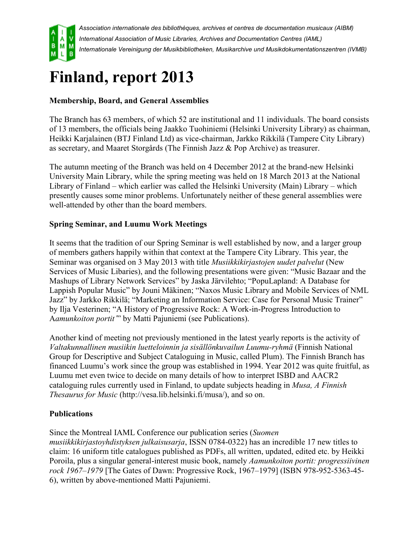

*Association internationale des bibliothèques, archives et centres de documentation musicaux (AIBM) International Association of Music Libraries, Archives and Documentation Centres (IAML) Internationale Vereinigung der Musikbibliotheken, Musikarchive und Musikdokumentationszentren (IVMB)*

## **Finland, report 2013**

## **Membership, Board, and General Assemblies**

The Branch has 63 members, of which 52 are institutional and 11 individuals. The board consists of 13 members, the officials being Jaakko Tuohiniemi (Helsinki University Library) as chairman, Heikki Karjalainen (BTJ Finland Ltd) as vice-chairman, Jarkko Rikkilä (Tampere City Library) as secretary, and Maaret Storgårds (The Finnish Jazz & Pop Archive) as treasurer.

The autumn meeting of the Branch was held on 4 December 2012 at the brand-new Helsinki University Main Library, while the spring meeting was held on 18 March 2013 at the National Library of Finland – which earlier was called the Helsinki University (Main) Library – which presently causes some minor problems. Unfortunately neither of these general assemblies were well-attended by other than the board members.

## **Spring Seminar, and Luumu Work Meetings**

It seems that the tradition of our Spring Seminar is well established by now, and a larger group of members gathers happily within that context at the Tampere City Library. This year, the Seminar was organised on 3 May 2013 with title *Musiikkikirjastojen uudet palvelut* (New Services of Music Libaries), and the following presentations were given: "Music Bazaar and the Mashups of Library Network Services" by Jaska Järvilehto; "PopuLapland: A Database for Lappish Popular Music" by Jouni Mäkinen; "Naxos Music Library and Mobile Services of NML Jazz" by Jarkko Rikkilä; "Marketing an Information Service: Case for Personal Music Trainer" by Ilja Vesterinen; "A History of Progressive Rock: A Work-in-Progress Introduction to A*amunkoiton portit'*" by Matti Pajuniemi (see Publications).

Another kind of meeting not previously mentioned in the latest yearly reports is the activity of *Valtakunnallinen musiikin luetteloinnin ja sisällönkuvailun Luumu-ryhmä* (Finnish National Group for Descriptive and Subject Cataloguing in Music, called Plum). The Finnish Branch has financed Luumu's work since the group was established in 1994. Year 2012 was quite fruitful, as Luumu met even twice to decide on many details of how to interpret ISBD and AACR2 cataloguing rules currently used in Finland, to update subjects heading in *Musa, A Finnish Thesaurus for Music* (http://vesa.lib.helsinki.fi/musa/), and so on.

## **Publications**

Since the Montreal IAML Conference our publication series (*Suomen* 

*musiikkikirjastoyhdistyksen julkaisusarja*, ISSN 0784-0322) has an incredible 17 new titles to claim: 16 uniform title catalogues published as PDFs, all written, updated, edited etc. by Heikki Poroila, plus a singular general-interest music book, namely *Aamunkoiton portit: progressiivinen rock 1967–1979* [The Gates of Dawn: Progressive Rock, 1967–1979] (ISBN 978-952-5363-45- 6), written by above-mentioned Matti Pajuniemi.